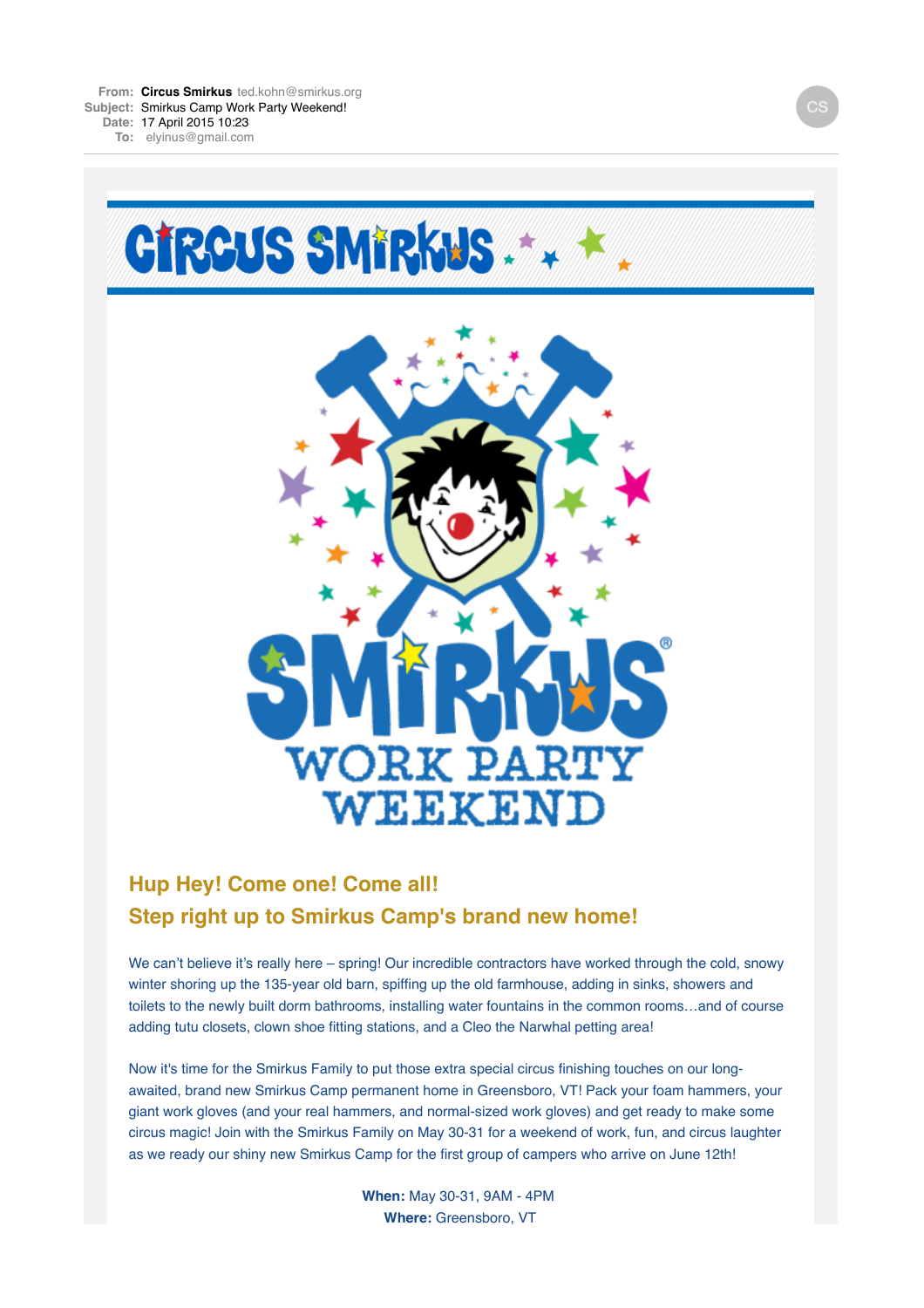

## **Hup Hey! Come one! Come all! Step right up to Smirkus Camp's brand new home!**

We can't believe it's really here – spring! Our incredible contractors have worked through the cold, snowy winter shoring up the 135-year old barn, spiffing up the old farmhouse, adding in sinks, showers and toilets to the newly built dorm bathrooms, installing water fountains in the common rooms…and of course adding tutu closets, clown shoe fitting stations, and a Cleo the Narwhal petting area!

Now it's time for the Smirkus Family to put those extra special circus finishing touches on our longawaited, brand new Smirkus Camp permanent home in Greensboro, VT! Pack your foam hammers, your giant work gloves (and your real hammers, and normal-sized work gloves) and get ready to make some circus magic! Join with the Smirkus Family on May 30-31 for a weekend of work, fun, and circus laughter as we ready our shiny new Smirkus Camp for the first group of campers who arrive on June 12th!

> **When:** May 30-31, 9AM - 4PM **Where:** Greensboro, VT